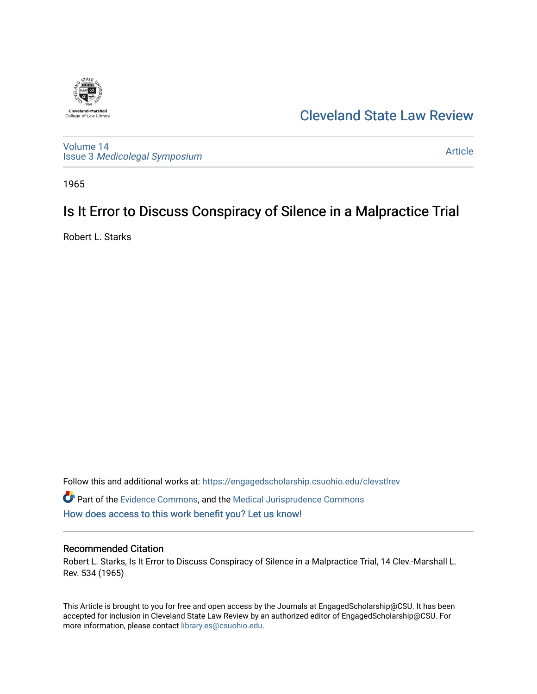

## [Cleveland State Law Review](https://engagedscholarship.csuohio.edu/clevstlrev)

[Volume 14](https://engagedscholarship.csuohio.edu/clevstlrev/vol14) Issue 3 [Medicolegal Symposium](https://engagedscholarship.csuohio.edu/clevstlrev/vol14/iss3) 

[Article](https://engagedscholarship.csuohio.edu/clevstlrev/vol14/iss3/10) 

1965

# Is It Error to Discuss Conspiracy of Silence in a Malpractice Trial

Robert L. Starks

Follow this and additional works at: [https://engagedscholarship.csuohio.edu/clevstlrev](https://engagedscholarship.csuohio.edu/clevstlrev?utm_source=engagedscholarship.csuohio.edu%2Fclevstlrev%2Fvol14%2Fiss3%2F10&utm_medium=PDF&utm_campaign=PDFCoverPages)  $\bullet$  Part of the [Evidence Commons,](http://network.bepress.com/hgg/discipline/601?utm_source=engagedscholarship.csuohio.edu%2Fclevstlrev%2Fvol14%2Fiss3%2F10&utm_medium=PDF&utm_campaign=PDFCoverPages) and the [Medical Jurisprudence Commons](http://network.bepress.com/hgg/discipline/860?utm_source=engagedscholarship.csuohio.edu%2Fclevstlrev%2Fvol14%2Fiss3%2F10&utm_medium=PDF&utm_campaign=PDFCoverPages) [How does access to this work benefit you? Let us know!](http://library.csuohio.edu/engaged/)

### Recommended Citation

Robert L. Starks, Is It Error to Discuss Conspiracy of Silence in a Malpractice Trial, 14 Clev.-Marshall L. Rev. 534 (1965)

This Article is brought to you for free and open access by the Journals at EngagedScholarship@CSU. It has been accepted for inclusion in Cleveland State Law Review by an authorized editor of EngagedScholarship@CSU. For more information, please contact [library.es@csuohio.edu](mailto:library.es@csuohio.edu).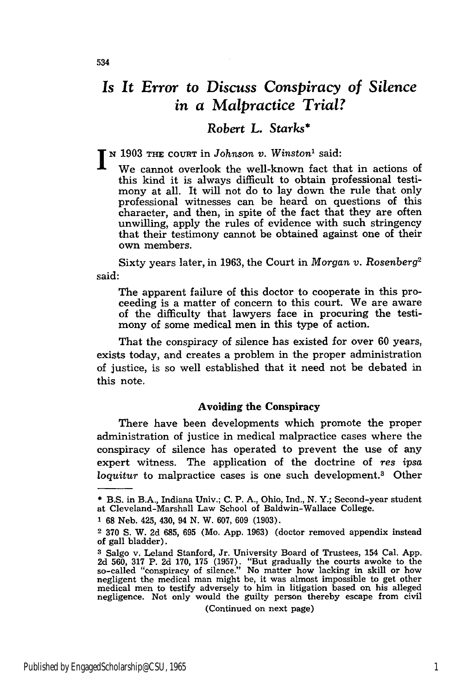## *Is It Error to Discuss Conspiracy of Silence in a Malpractice Trial?*

### *Robert L. Starks\**

**<sup>N</sup>**1903 **THE COURT** in Johnson *v. Winston'* said:

We cannot overlook the well-known fact that in actions of this kind it is always difficult to obtain professional testimony at all. It will not do to lay down the rule that only professional witnesses can be heard on questions of this character, and then, in spite of the fact that they are often unwilling, apply the rules of evidence with such stringency that their testimony cannot be obtained against one of their own members.

Sixty years later, in 1963, the Court in *Morgan v. Rosenberg2* said:

The apparent failure of this doctor to cooperate in this proceeding is a matter of concern to this court. We are aware of the difficulty that lawyers face in procuring the testimony of some medical men in this type of action.

That the conspiracy of silence has existed for over 60 years, exists today, and creates a problem in the proper administration of justice, is so well established that it need not be debated in this note.

#### Avoiding the **Conspiracy**

There have been developments which promote the proper administration of justice in medical malpractice cases where the conspiracy of silence has operated to prevent the use of any expert witness. The application of the doctrine of *res ipsa loquitur* to malpractice cases is one such development.3 Other

(Continued on next page)

**<sup>\*</sup>** B.S. in B.A., Indiana Univ.; C. P. A., Ohio, Ind., **N.** Y.; Second-year student at Cleveland-Marshall Law School of Baldwin-Wallace College.

**<sup>1</sup>** 68 Neb. 425, 430, 94 **N.** W. 607, **609** (1903).

<sup>2</sup> 370 S. W. 2d 685, 695 (Mo. App. 1963) (doctor removed appendix instead of gall bladder).

**<sup>3</sup>** Salgo v. Leland Stanford, Jr. University Board of Trustees, 154 Cal. App. 2d 560, 317 P. 2d 170, 175 (1957). "But gradually the courts awoke to the so-called "conspiracy of silence." No matter how lacking in skill or how negligent the medical man might be, it was almost impossible to get other medical men to testify adversely to him in litigation based on his alleged negligence. Not only would the guilty person thereby escape from civil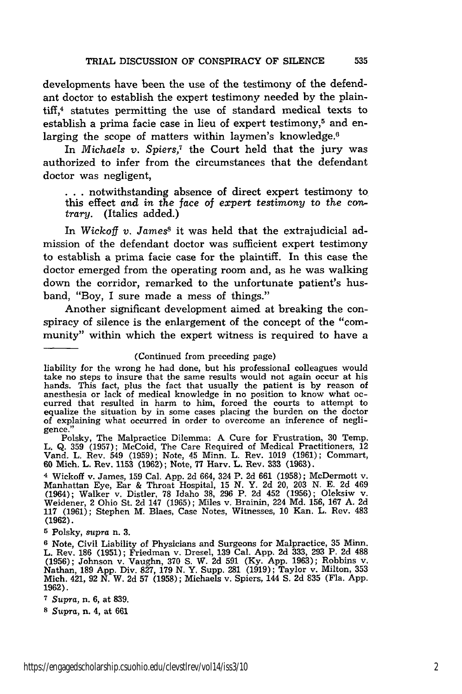developments have been the use of the testimony of the defendant doctor to establish the expert testimony needed by the plain- $\text{tff}$ ,<sup>4</sup> statutes permitting the use of standard medical texts to establish a prima facie case in lieu of expert testimony, $5$  and enlarging the scope of matters within laymen's knowledge.<sup>6</sup>

In *Michaels v. Spiers,7* the Court held that the jury was authorized to infer from the circumstances that the defendant doctor was negligent,

**. ..**notwithstanding absence of direct expert testimony to this effect and *in the face* of *expert testimony* to *the* contrary. (Italics added.)

In *Wickoff v. Jamess* it was held that the extrajudicial admission of the defendant doctor was sufficient expert testimony to establish a prima facie case for the plaintiff. In this case the doctor emerged from the operating room and, as he was walking down the corridor, remarked to the unfortunate patient's husband, "Boy, I sure made a mess of things."

Another significant development aimed at breaking the conspiracy of silence is the enlargement of the concept of the "community" within which the expert witness is required to have a

liability for the wrong he had done, but his professional colleagues would take no steps to insure that the same results would not again occur at his hands. This fact, plus the fact that usually the patient is by reason of anesthesia or lack of medical knowledge in no position to know what occurred that resulted in harm to him, forced the courts to attempt to equalize the situation by in some cases placing the burden on the doctor of explaining what occurred in order to overcome an inference of negligence."

Polsky, The Malpractice Dilemma: A Cure for Frustration, 30 Temp. L. Q. 359 (1957); McCoid, The Care Required of Medical Practitioners, 12 Vand. L. Rev. 549 (1959); Note, 45 Minn. L. Rev. 1019 (1961); Commart, **60** Mich. L. Rev. **1153 (1962);** Note, **77** Harv. L. Rev. **333 (1963).**

<sup>4</sup>Wickoff v. James, **159** Cal. App. 2d 664, 324 P. 2d 661 (1958); McDermott v. Manhattan Eye, Ear & Throat Hospital, **15** N. Y. 2d 20, 203 N. **E. 2d** 469 (1964); Walker v. Distler, 78 Idaho **38,** 296 P. 2d 452 (1956); Oleksiw v. Weidener, 2 Ohio St. 2d 147 (1965); Miles v. Brainin, 224 **Md.** 156, 167 A. 2d **117** (1961); Stephen M. Blaes, Case Notes, Witnesses, **10** Kan. L. Rev. 483 (1962).

**5** Polsky, *supra* n. **3.**

**6** Note, Civil Liability of Physicians and Surgeons for Malpractice, 35 Minn. L. Rev. **186** (1951); Friedman v. Dresel, 139 Cal. App. 2d 333, 293 P. 2d **488** (1956); Johnson v. Vaughn, **370 S.** W. 2d 591 (Ky. App. 1963); Robbins v. Nathan, **189** App. Div. 827, 179 N. Y. Supp. 281 (1919); Taylor v. Milton, 353 Mich. 421, 92 N. W. 2d 57 (1958); Michaels v. Spiers, 144 **S.** 2d **835** (Fla. App. 1962).

*s* Supra, n. 4, at 661

<sup>(</sup>Continued from preceding page)

**<sup>7</sup>***Supra,* n. 6, at 839.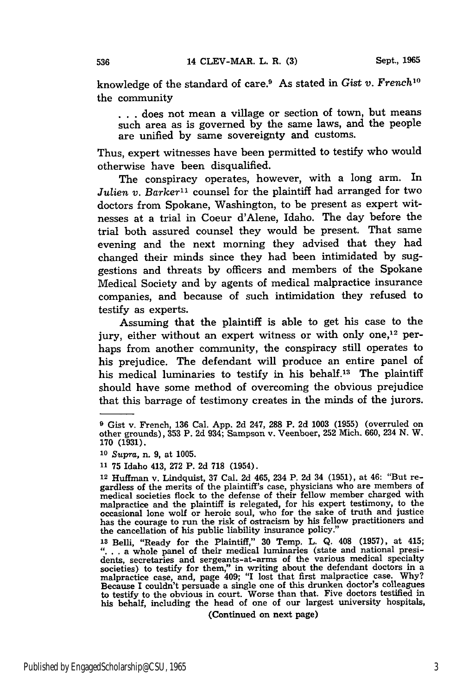knowledge of the standard of care.9 As stated in *Gist v. French'0* the community

... does not mean a village or section of town, but means such area as is governed by the same laws, and the people are unified by same sovereignty and customs.

Thus, expert witnesses have been permitted to testify who would otherwise have been disqualified.

The conspiracy operates, however, with a long arm. In *Julien v. Barker*<sup>11</sup> counsel for the plaintiff had arranged for two doctors from Spokane, Washington, to be present as expert witnesses at a trial in Coeur d'Alene, Idaho. The day before the trial both assured counsel they would be present. That same evening and the next morning they advised that they had changed their minds since they had been intimidated by suggestions and threats by officers and members of the Spokane Medical Society and by agents of medical malpractice insurance companies, and because of such intimidation they refused to testify as experts.

Assuming that the plaintiff is able to get his case to the jury, either without an expert witness or with only one,<sup>12</sup> perhaps from another community, the conspiracy still operates to his prejudice. The defendant will produce an entire panel of his medical luminaries to testify in his behalf.<sup>13</sup> The plaintiff should have some method of overcoming the obvious prejudice that this barrage of testimony creates in the minds of the jurors.

(Continued on next page)

**<sup>9</sup>** Gist v. French, 136 Cal. App. 2d 247, **288** P. 2d **1003 (1955)** (overruled on other grounds), 353 P. 2d 934; Sampson v. Veenboer, 252 Mich. 660, 234 N. W. **170 (1931).**

*<sup>1</sup>o* Supra, n. **9,** at **1005.**

**<sup>11 75</sup>** Idaho 413, **272** P. **2d 718** (1954).

**<sup>12</sup>** Huffman v. Lindquist, **37** Cal. **2d** 465, 234 P. **2d** 34 **(1951),** at 46: "But regardless of the merits of the plaintiff's case, physicians who are members of medical societies flock to the defense of their fellow member charged with malpractice and the plaintiff is relegated, for his expert testimony, to the occasional lone wolf or heroic soul, who for the sake of truth and justice has the courage to run the risk of ostracism **by** his fellow practitioners and the cancellation of his public liability insurance policy."

**<sup>13</sup>**Belh, "Ready for the Plaintiff," **30** Temp. L. **Q.** 408 **(1957),** at 415; "... a whole panel of their medical luminaries (state and national presidents, secretaries and sergeants-at-arms of the various medical specialty societies) to testify for them," in writing about the defendant doctors in a malpractice case, and, page 409; **"I** lost that first malpractice case. **Why?** Because I couldn't persuade a single one of this drunken doctor's colleagues to testify to the obvious in court. Worse than that. Five doctors testified in his behalf, including the head of one of our largest university hospitals,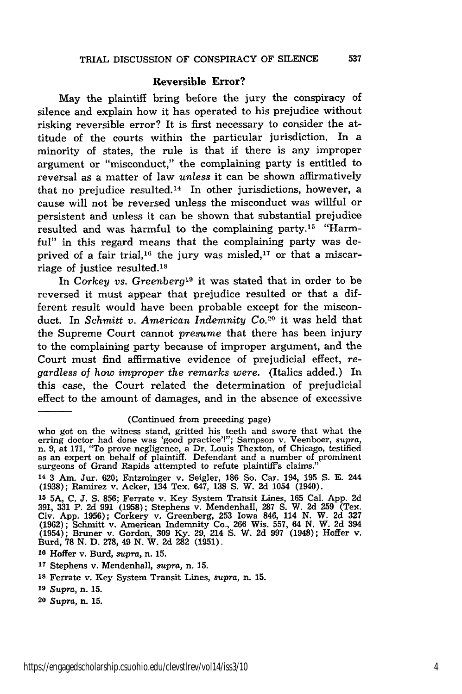#### **Reversible Error?**

May the plaintiff bring before the jury the conspiracy of silence and explain how it has operated to his prejudice without risking reversible error? It is first necessary to consider the attitude of the courts within the particular jurisdiction. In a minority of states, the rule is that if there is any improper argument or "misconduct," the complaining party is entitled to reversal as a matter of law *unless* it can be shown affirmatively that no prejudice resulted.<sup>14</sup> In other jurisdictions, however, a cause will not be reversed unless the misconduct was willful or persistent and unless it can be shown that substantial prejudice resulted and was harmful to the complaining party.15 "Harmful" in this regard means that the complaining party was deprived of a fair trial,<sup>16</sup> the jury was misled,<sup>17</sup> or that a miscarriage of justice resulted.<sup>18</sup>

In Corkey vs. Greenberg<sup>19</sup> it was stated that in order to be reversed it must appear that prejudice resulted or that a different result would have been probable except for the misconduct. In *Schmitt v. American Indemnity Co.*<sup>20</sup> it was held that the Supreme Court cannot *presume* that there has been injury to the complaining party because of improper argument, and the Court must find affirmative evidence of prejudicial effect, *regardless of how improper the remarks were.* (Italics added.) In this case, the Court related the determination of prejudicial effect to the amount of damages, and in the absence of excessive

#### (Continued from preceding page)

who got on the witness stand, gritted his teeth and swore that what the erring doctor had done was 'good practice'!"; Sampson v. Veenboer, *supra,* n. 9, at 171, "To prove negligence, a Dr. Louis Thexton, of Chicago, testified as an expert on behalf of plaintiff. Defendant and a number of prominent surgeons of Grand Rapids attempted to refute plaintiffs claims."

<sup>14</sup>**3** Am. Jur. 620; Entzminger v. Seigler, **186** So. Car. 194, **195 S. E.** 244 (1938); Ramirez v. Acker, 134 Tex. 647, 138 **S.** W. 2d 1054 (1940).

**<sup>15 5</sup>A, C. J. S.** 856; Ferrate v. Key System Transit Lines, **165** Cal. App. **2d 391,** 331 P. 2d 991 (1958); Stephens v. Mendenhall, 287 **S.** W. **2d 259** (Tex. Civ. App. 1956); Corkery v. Greenberg, 253 Iowa 846, 114 **N.** W. **2d 327** (1962); Schmitt v. American Indemnity Co., 266 Wis. 557, 64 **N.** W. 2d 394 (1954); Bruner v. Gordon, **309** Ky. 29, 214 **S.** W. 2d 997 (1948); Hoffer v. Burd, **78 N. D. 278,** 49 **N.** W. **2d 282 (1951).**

**<sup>16</sup>**Hoffer v. Burd, *supra,* n. **15.**

**<sup>17</sup>**Stephens v. Mendenhall, *supra,* n. **15.**

**<sup>18</sup>**Ferrate v. Key System Transit Lines, *supra,* n. **15.**

**<sup>19</sup>***Supra,* n. **15.**

**<sup>20</sup>***Supra,* n. **15.**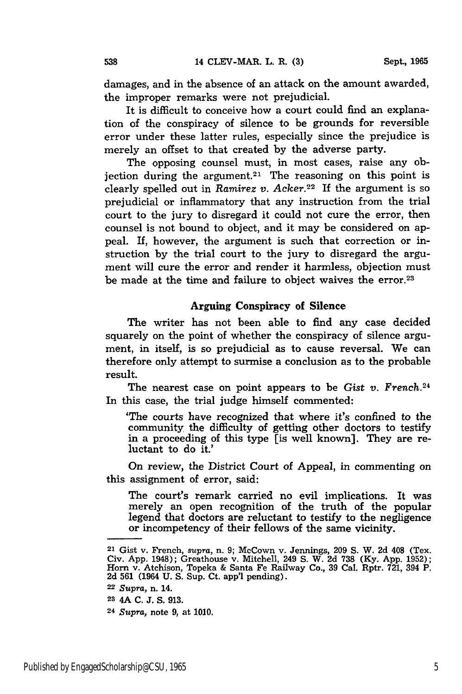damages, and in the absence of an attack on the amount awarded, the improper remarks were not prejudicial.

It is difficult to conceive how a court could find an explanation of the conspiracy of silence to be grounds for reversible error under these latter rules, especially since the prejudice is merely an offset to that created **by** the adverse party.

The opposing counsel must, in most cases, raise any objection during the argument.<sup>21</sup> The reasoning on this point is clearly spelled out in *Ramirez v. Acker.22* If the argument is so prejudicial or inflammatory that any instruction from the trial court to the jury to disregard it could not cure the error, then counsel is not bound to object, and it may be considered on appeal. If, however, the argument is such that correction or instruction **by** the trial court to the jury to disregard the argument will cure the error and render it harmless, objection must be made at the time and failure to object waives the error.<sup>23</sup>

#### Arguing Conspiracy of Silence

The writer has not been able to find any case decided squarely on the point of whether the conspiracy of silence argument, in itself, is so prejudicial as to cause reversal. We can therefore only attempt to surmise a conclusion as to the probable result.

The nearest case on point appears to be Gist *v. French.24* In this case, the trial judge himself commented:

'The courts have recognized that where it's confined to the community the difficulty of getting other doctors to testify in a proceeding of this type [is well known]. They are reluctant to do it.'

On review, the District Court of Appeal, in commenting on this assignment of error, said:

The court's remark carried no evil implications. It was merely an open recognition of the truth of the popular legend that doctors are reluctant to testify to the negligence or incompetency of their fellows of the same vicinity.

**<sup>21</sup>**Gist v. French, *supra,* n. **9;** McCown v. Jennings, **209 S.** W. **2d** 408 (Tex. Civ. App. 1948); Greathouse v. Mitchell, 249 S. W. 2d 738 (Ky. App. 1952); Horn v. Atchison, Topeka & Santa Fe Railway Co., 39 Cal. Rptr. 721, 394 P.<br>2d 561 (1964 U. S. Sup. Ct. app'l pending).

**<sup>22</sup>***Supra,* n. 14.

**<sup>23</sup>**4A **C. J. S. 913.**

**<sup>24</sup>***Supra,* note **9,** at **1010.**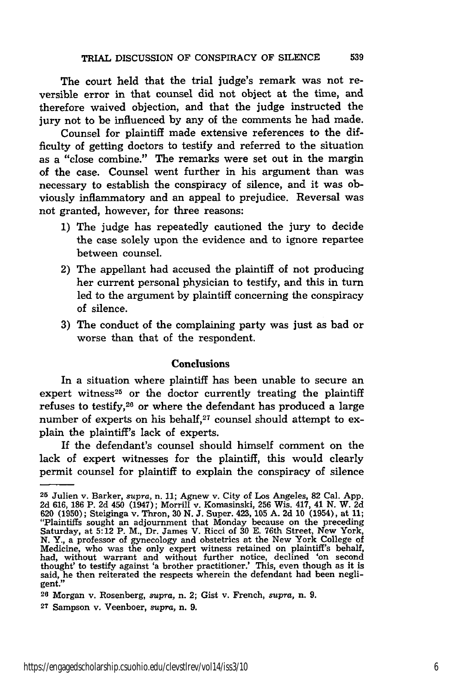The court held that the trial judge's remark was not reversible error in that counsel did not object at the time, and therefore waived objection, and that the judge instructed the jury not to be influenced **by** any of the comments he had made.

Counsel for plaintiff made extensive references to the difficulty of getting doctors to testify and referred to the situation as a "close combine." The remarks were set out in the margin of the case. Counsel went further in his argument than was necessary to establish the conspiracy of silence, and it was obviously inflammatory and an appeal to prejudice. Reversal was not granted, however, for three reasons:

- **1)** The judge has repeatedly cautioned the jury to decide the case solely upon the evidence and to ignore repartee between counsel.
- 2) The appellant had accused the plaintiff of not producing her current personal physician to testify, and this in turn led to the argument **by** plaintiff concerning the conspiracy of silence.
- **3)** The conduct of the complaining party was just as bad or worse than that of the respondent.

#### Conclusions

In a situation where plaintiff has been unable to secure an expert witness<sup>25</sup> or the doctor currently treating the plaintiff refuses to testify,26 or where the defendant has produced a large number of experts on his behalf, $27$  counsel should attempt to explain the plaintiff's lack of experts.

If the defendant's counsel should himself comment on the lack of expert witnesses for the plaintiff, this would clearly permit counsel for plaintiff to explain the conspiracy of silence

**<sup>25</sup>**Julien v. Barker, *supra,* n. **11;** Agnew v. City of Los Angeles, **82** Cal. **App. 2d 616, 186** P. **2d** 450 (1947); Morrill v. Komasinski, **256** Wis. 417, 41 **N.** W. **2d 620 (1950);** Steiginga v. Thron, **30 N. J.** Super. 423, **105 A. 2d 10** (1954), at **11;** "Plaintiffs sought an adjournment that Monday because on the preceding Saturday, at 5:12 P. M., Dr. James V. Ricci of 30 E. 76th Street, New York, N. Y., a professor of gynecology and obstetrics at the New York College of Medicine, who was the only expert witness retained on plaintiff's behal thought' to testify against 'a brother practitioner.' This, even though as it is said, he then reiterated the respects wherein the defendant had been negligent."

**<sup>26</sup>**Morgan v. Rosenberg, *supra,* n. 2; Gist v. French, *supra,* n. **9.**

**<sup>27</sup>**Sampson v. Veenboer, *supra,* n. 9.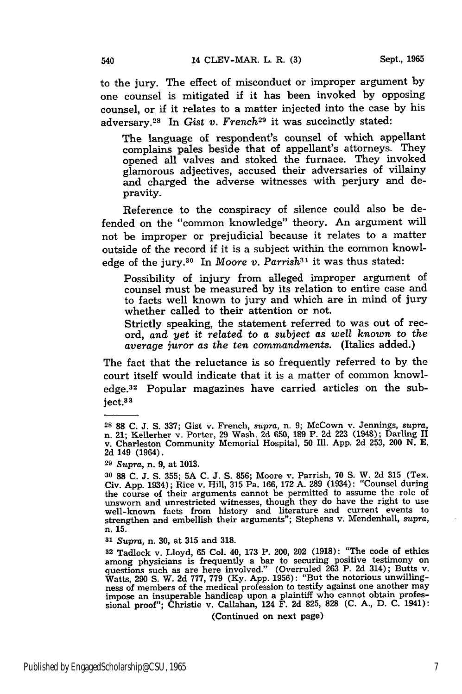to the jury. The effect of misconduct or improper argument **by** one counsel is mitigated if it has been invoked **by** opposing counsel, or if it relates to a matter injected into the case **by** his adversary.<sup>28</sup> In *Gist v. French*<sup>29</sup> it was succinctly stated:

The language of respondent's counsel of which appellant complains pales beside that of appellant's attorneys. They opened all valves and stoked the furnace. They invoked glamorous adjectives, accused their adversaries of villainy and charged the adverse witnesses with perjury and depravity.

Reference to the conspiracy of silence could also be defended on the "common knowledge" theory. An argument will not be improper or prejudicial because it relates to a matter outside of the record if it is a subject within the common knowledge of the jury.<sup>30</sup> In *Moore v. Parrish*<sup>31</sup> it was thus stated:

Possibility of injury from alleged improper argument of counsel must be measured by its relation to entire case and to facts well known to jury and which are in mind of jury whether called to their attention or not.

Strictly speaking, the statement referred to was out of record, *and yet it related to a subject as well known to the average juror as the ten commandments.* (Italics added.)

The fact that the reluctance is so frequently referred to by the court itself would indicate that it is a matter of common knowledge.<sup>32</sup> Popular magazines have carried articles on the subject.3 <sup>3</sup>

**<sup>31</sup>***Supra,* n. **30,** at **315** and **318.**

**<sup>32</sup>**Tadlock v. Lloyd, **65** Col. 40, **173** P. 200, 202 **(1918):** "The code of ethics among physicians is frequently a bar to securing positive testimony or questions such as are here involved." (Overruled 263 P. 2d 314); Butts v.<br>Watts, 290 S. W. 2d 777, 779 (Ky. App. 1956): "But the notorious unwilling-<br>ness of members of the medical profession to testify against one another impose an insuperable handicap upon a plaintiff who cannot obtain professional proof"; Christie v. Callahan, 124 F. 2d **825, 828** (C. A., D. C. 1941):

(Continued on next page)

**<sup>28 88</sup> C. J. S. 337;** Gist v. French, *supra,* n. **9;** McCown v. Jennings, *supra,* n. 21; Kellerher v. Porter, **29** Wash. **2d 650, 189** P. **2d 223** (1948); Darling II v. Charleston Community Memorial Hospital, **50** Ill. **App. 2d 253,** 200 **N. E. 2d** 149 (1964).

**<sup>29</sup>**Supra, n. **9,** at **1013.**

**<sup>30 88</sup> C. J. S. 355; 5A C. J. S. 856;** Moore v. Parrish, **70 S.** W. **2d 315** (Tex. Civ. **App.** 1934); Rice v. Hill, **315** Pa. **166, 172 A. 289** (1934): "Counsel during the course of their arguments cannot be permitted to assume the role of **unsworn** and unrestricted witnesses, though they do have the right to **use** well-known facts from history and literature and current events to strengthen and embellish their arguments"; Stephens v. Mendenhall, *supra,* n. **15.**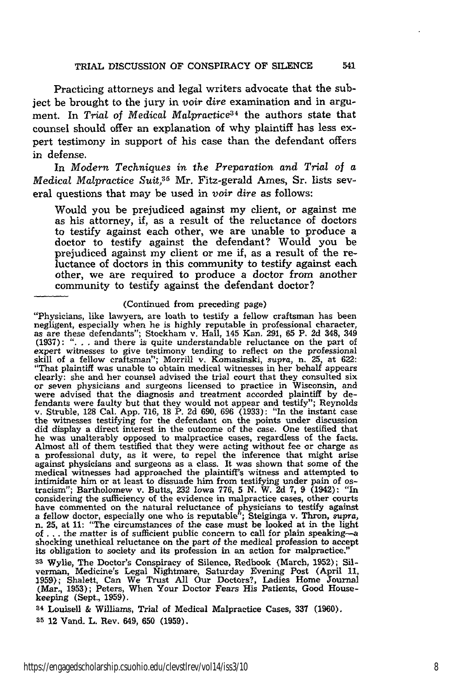Practicing attorneys and legal writers advocate that the subject be brought to the jury in *voir dire* examination and in argument. In *Trial* of *Medical Malpractice34* the authors state that counsel should offer an explanation of why plaintiff has less expert testimony in support of his case than the defendant offers in defense.

In *Modern Techniques in the Preparation and Trial of a Medical Malpractice Suit.35* Mr. Fitz-gerald Ames, Sr. lists several questions that may be used in *voir dire* as follows:

Would you be prejudiced against my client, or against me as his attorney, if, as a result of the reluctance of doctors to testify against each other, we are unable to produce a doctor to testify against the defendant? Would you be prejudiced against my client or me if, as a result of the reluctance of doctors in this community to testify against each other, we are required to produce a doctor from another community to testify against the defendant doctor?

#### (Continued from preceding page)

"Physicians, like lawyers, are loath to testify a fellow craftsman has been negligent, especially when he is highly reputable in professional character, as are these defendants"; Stockham v. Hall, 145 Kan. 291, 65 P. 2d 348, 349 (1937): ". **. .** and there is quite understandable reluctance on the part of expert witnesses to give testimony tending to reflect on the professional skill of a fellow craftsman"; Morrill v. Komasinski, supra, n. **25,** at 622: "That plaintiff was unable to obtain medical witnesses in her behalf appears clearly: she and her counsel advised the trial court that they consulted six or seven physicians and surgeons licensed to practice in Wisconsin, and were advised that the diagnosis and treatment accorded plaintiff by defendants were faulty but that they would not appear and testify"; Reynolds v. Struble, **128** Cal. App. 716, 18 P. 2d 690, 696 (1933): "In the instant case the witnesses testifying for the defendant on the points under discussion did display a direct interest in the outcome of the case. One testified that he was unalterably opposed to malpractice cases, regardless of the facts. Almost all of them testified that they were acting without fee or charge as a professional duty, as it were, to repel the inference that might arise against physicians and surgeons as a class. It was shown that some of the medical witnesses had approached the plaintiff's witness and attempted to intimidate him or at least to dissuade him from testifying under pain of os- tracism"; Bartholomew v. Butts, **232** Iowa 776, 5 N. W. 2d 7, 9 (1942): "In considering the sufficiency of the evidence in malpractice cases, other courts have commented on the natural reluctance of physicians to testify against<br>a fellow doctor, especially one who is reputable"; Steiginga v. Thron, *supra*,<br>n. 25, at 11: "The circumstances of the case must be looked at in th of **...** the matter is of sufficient public concern to call for plain speaking-a shocking unethical reluctance on the part of the medical profession to accept its obligation to society and its profession in an action for malpractice."

**33** Wylie, The Doctor's Conspiracy of Silence, Redbook (March, 1952); Silverinan, Medicine's Legal Nightmare, Saturday Evening Post (April 11, 1959); Shalett, Can We Trust All Our Doctors?, Ladies Home Journal (Mar., 1953); Peters, When Your Doctor Fears His Patients, Good Housekeeping (Sept., 1959).

34 Louiseil & Williams, Trial of Medical Malpractice Cases, **337** (1960). **35** 12 Vand. L. Rev. 649, **650** (1959).